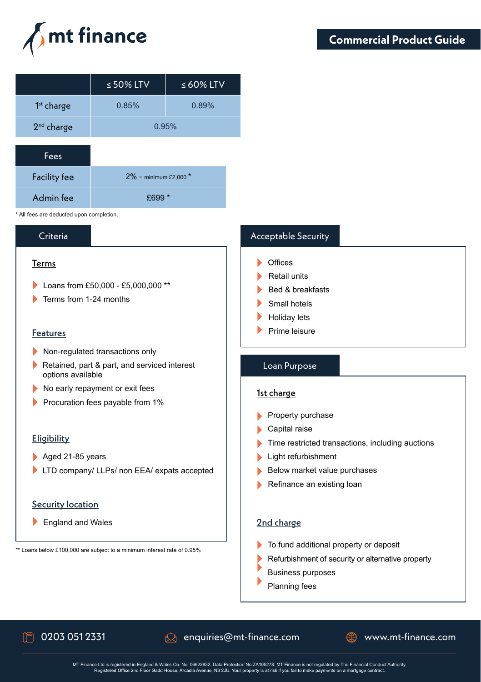

|                        | $\leq$ 50% LTV | $\leq 60\%$ LTV |
|------------------------|----------------|-----------------|
| 1 <sup>st</sup> charge | 0.85%          | 0.89%           |
| 2 <sup>nd</sup> charge | 0.95%          |                 |
|                        |                |                 |

| <b>Fees</b>         |                            |
|---------------------|----------------------------|
| <b>Facility fee</b> | $2\%$ - minimum £2.000 $*$ |
| Admin fee           | £699 $*$                   |

\* All fees are deducted upon completion.

## Criteria

### Terms

- Loans from £50,000 £5,000,000 \*\*
- Terms from 1-24 months

### **Features**

- Non-regulated transactions only
- Retained, part & part, and serviced interest options available
- No early repayment or exit fees
- Procuration fees payable from  $1\%$

### Eligibility

- Aged 21-85 years
- LTD company/ LLPs/ non EEA/ expats accepted

### Security location

England and Wales

\*\* Loans below £100,000 are subject to a minimum interest rate of 0.95%

# Acceptable Security

- $\triangleright$  Offices
- **Retail units**
- Bed & breakfasts
- Small hotels
- Holiday lets
- $\blacktriangleright$  Prime leisure

### Loan Purpose

### 1st charge

- $\blacktriangleright$  Property purchase
- Capital raise
- Time restricted transactions, including auctions
- **Light refurbishment**
- Below market value purchases
- Refinance an existing loan

### 2nd charge

- To fund additional property or deposit
- Refurbishment of security or alternative property
- Business purposes
- Planning fees

 $\Box$  0203 051 2331  $\Box$  enquiries@mt-finance.com  $\Box$  www.mt-finance.com

MT Finance Ltd is registered in England & Wales Co. No. 06622832. Data Protection No. ZA105278. MT Finance is not regulated by The Financial Conduct Authority.<br>Registered Office 2nd Floor Gadd House, Arcadia Avenue, N3 2JU